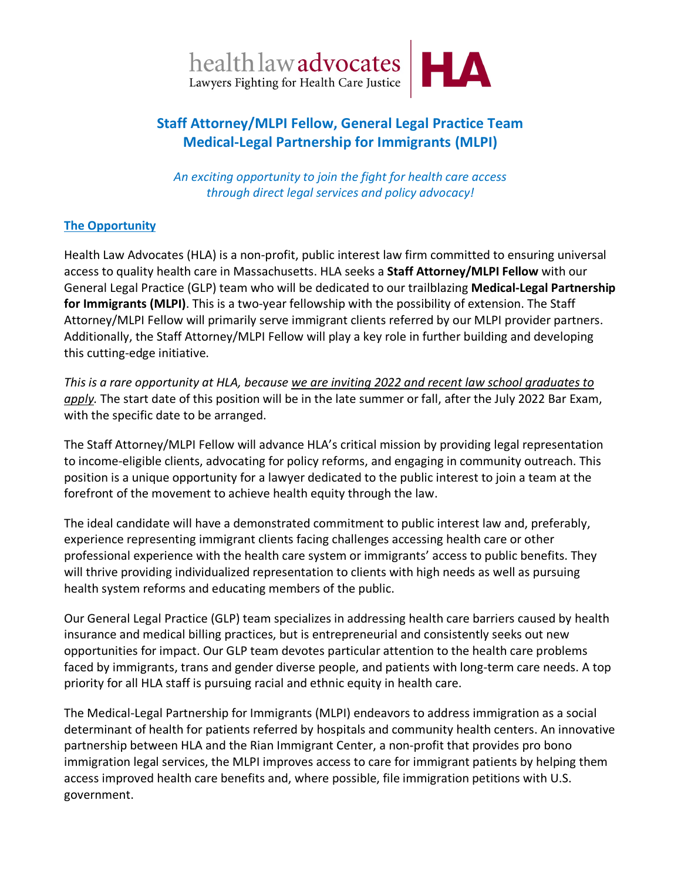

# **Staff Attorney/MLPI Fellow, General Legal Practice Team Medical-Legal Partnership for Immigrants (MLPI)**

*An exciting opportunity to join the fight for health care access through direct legal services and policy advocacy!*

## **The Opportunity**

Health Law Advocates (HLA) is a non-profit, public interest law firm committed to ensuring universal access to quality health care in Massachusetts. HLA seeks a **Staff Attorney/MLPI Fellow** with our General Legal Practice (GLP) team who will be dedicated to our trailblazing **Medical-Legal Partnership for Immigrants (MLPI)**. This is a two-year fellowship with the possibility of extension. The Staff Attorney/MLPI Fellow will primarily serve immigrant clients referred by our MLPI provider partners. Additionally, the Staff Attorney/MLPI Fellow will play a key role in further building and developing this cutting-edge initiative.

*This is a rare opportunity at HLA, because we are inviting 2022 and recent law school graduates to apply.* The start date of this position will be in the late summer or fall, after the July 2022 Bar Exam, with the specific date to be arranged.

The Staff Attorney/MLPI Fellow will advance HLA's critical mission by providing legal representation to income-eligible clients, advocating for policy reforms, and engaging in community outreach. This position is a unique opportunity for a lawyer dedicated to the public interest to join a team at the forefront of the movement to achieve health equity through the law.

The ideal candidate will have a demonstrated commitment to public interest law and, preferably, experience representing immigrant clients facing challenges accessing health care or other professional experience with the health care system or immigrants' access to public benefits. They will thrive providing individualized representation to clients with high needs as well as pursuing health system reforms and educating members of the public.

Our General Legal Practice (GLP) team specializes in addressing health care barriers caused by health insurance and medical billing practices, but is entrepreneurial and consistently seeks out new opportunities for impact. Our GLP team devotes particular attention to the health care problems faced by immigrants, trans and gender diverse people, and patients with long-term care needs. A top priority for all HLA staff is pursuing racial and ethnic equity in health care.

The Medical-Legal Partnership for Immigrants (MLPI) endeavors to address immigration as a social determinant of health for patients referred by hospitals and community health centers. An innovative partnership between HLA and the Rian Immigrant Center, a non-profit that provides pro bono immigration legal services, the MLPI improves access to care for immigrant patients by helping them access improved health care benefits and, where possible, file immigration petitions with U.S. government.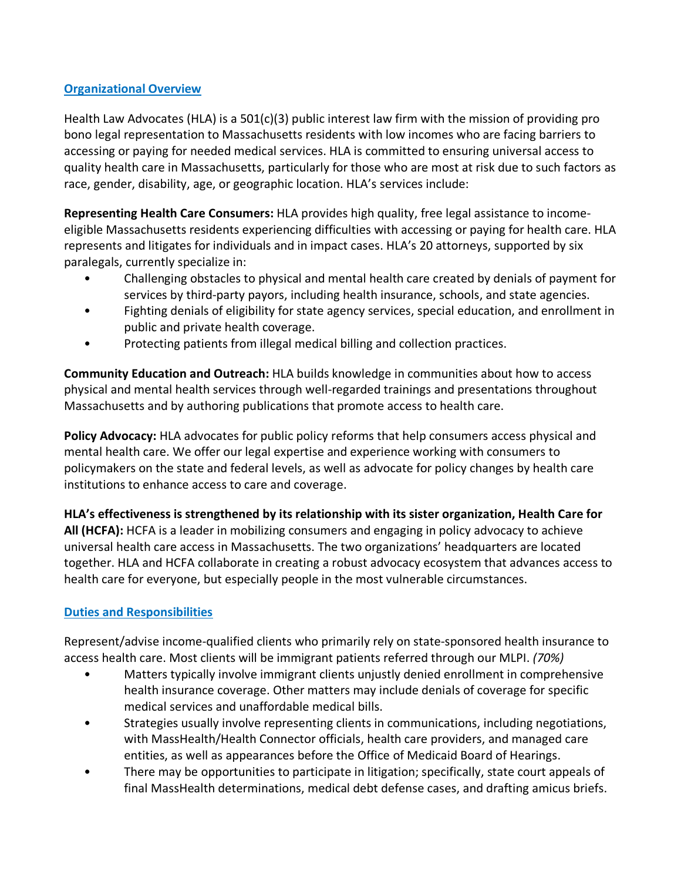## **Organizational Overview**

Health Law Advocates (HLA) is a 501(c)(3) public interest law firm with the mission of providing pro bono legal representation to Massachusetts residents with low incomes who are facing barriers to accessing or paying for needed medical services. HLA is committed to ensuring universal access to quality health care in Massachusetts, particularly for those who are most at risk due to such factors as race, gender, disability, age, or geographic location. HLA's services include:

**Representing Health Care Consumers:** HLA provides high quality, free legal assistance to incomeeligible Massachusetts residents experiencing difficulties with accessing or paying for health care. HLA represents and litigates for individuals and in impact cases. HLA's 20 attorneys, supported by six paralegals, currently specialize in:

- Challenging obstacles to physical and mental health care created by denials of payment for services by third-party payors, including health insurance, schools, and state agencies.
- Fighting denials of eligibility for state agency services, special education, and enrollment in public and private health coverage.
- Protecting patients from illegal medical billing and collection practices.

**Community Education and Outreach:** HLA builds knowledge in communities about how to access physical and mental health services through well-regarded trainings and presentations throughout Massachusetts and by authoring publications that promote access to health care.

**Policy Advocacy:** HLA advocates for public policy reforms that help consumers access physical and mental health care. We offer our legal expertise and experience working with consumers to policymakers on the state and federal levels, as well as advocate for policy changes by health care institutions to enhance access to care and coverage.

**HLA's effectiveness is strengthened by its relationship with its sister organization, Health Care for All (HCFA):** HCFA is a leader in mobilizing consumers and engaging in policy advocacy to achieve universal health care access in Massachusetts. The two organizations' headquarters are located together. HLA and HCFA collaborate in creating a robust advocacy ecosystem that advances access to health care for everyone, but especially people in the most vulnerable circumstances.

# **Duties and Responsibilities**

Represent/advise income-qualified clients who primarily rely on state-sponsored health insurance to access health care. Most clients will be immigrant patients referred through our MLPI. *(70%)*

- Matters typically involve immigrant clients unjustly denied enrollment in comprehensive health insurance coverage. Other matters may include denials of coverage for specific medical services and unaffordable medical bills.
- Strategies usually involve representing clients in communications, including negotiations, with MassHealth/Health Connector officials, health care providers, and managed care entities, as well as appearances before the Office of Medicaid Board of Hearings.
- There may be opportunities to participate in litigation; specifically, state court appeals of final MassHealth determinations, medical debt defense cases, and drafting amicus briefs.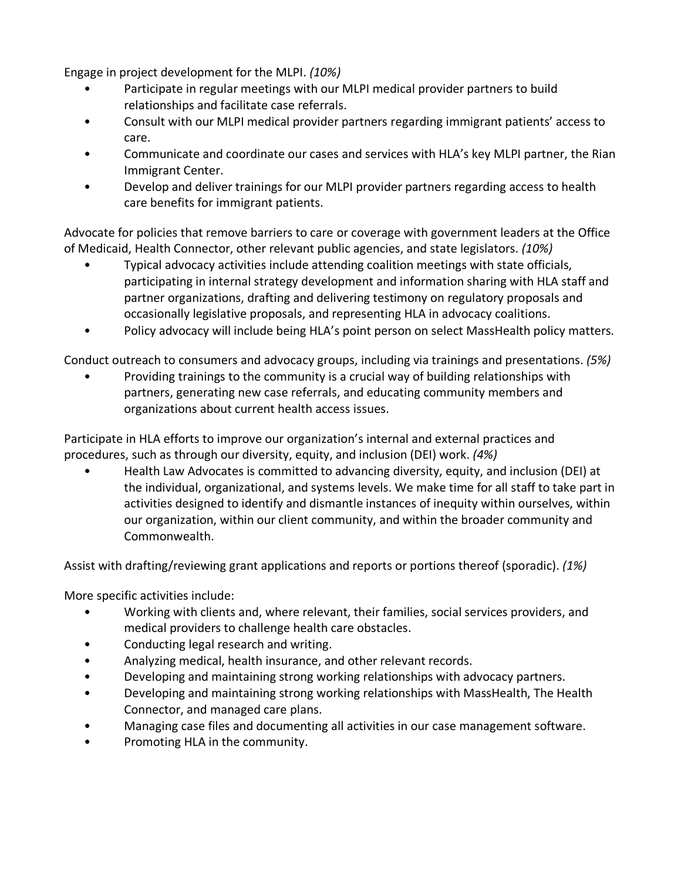Engage in project development for the MLPI. *(10%)*

- Participate in regular meetings with our MLPI medical provider partners to build relationships and facilitate case referrals.
- Consult with our MLPI medical provider partners regarding immigrant patients' access to care.
- Communicate and coordinate our cases and services with HLA's key MLPI partner, the Rian Immigrant Center.
- Develop and deliver trainings for our MLPI provider partners regarding access to health care benefits for immigrant patients.

Advocate for policies that remove barriers to care or coverage with government leaders at the Office of Medicaid, Health Connector, other relevant public agencies, and state legislators. *(10%)*

- Typical advocacy activities include attending coalition meetings with state officials, participating in internal strategy development and information sharing with HLA staff and partner organizations, drafting and delivering testimony on regulatory proposals and occasionally legislative proposals, and representing HLA in advocacy coalitions.
- Policy advocacy will include being HLA's point person on select MassHealth policy matters.

Conduct outreach to consumers and advocacy groups, including via trainings and presentations. *(5%)*

• Providing trainings to the community is a crucial way of building relationships with partners, generating new case referrals, and educating community members and organizations about current health access issues.

Participate in HLA efforts to improve our organization's internal and external practices and procedures, such as through our diversity, equity, and inclusion (DEI) work. *(4%)*

• Health Law Advocates is committed to advancing diversity, equity, and inclusion (DEI) at the individual, organizational, and systems levels. We make time for all staff to take part in activities designed to identify and dismantle instances of inequity within ourselves, within our organization, within our client community, and within the broader community and Commonwealth.

Assist with drafting/reviewing grant applications and reports or portions thereof (sporadic). *(1%)*

More specific activities include:

- Working with clients and, where relevant, their families, social services providers, and medical providers to challenge health care obstacles.
- Conducting legal research and writing.
- Analyzing medical, health insurance, and other relevant records.
- Developing and maintaining strong working relationships with advocacy partners.
- Developing and maintaining strong working relationships with MassHealth, The Health Connector, and managed care plans.
- Managing case files and documenting all activities in our case management software.
- Promoting HLA in the community.